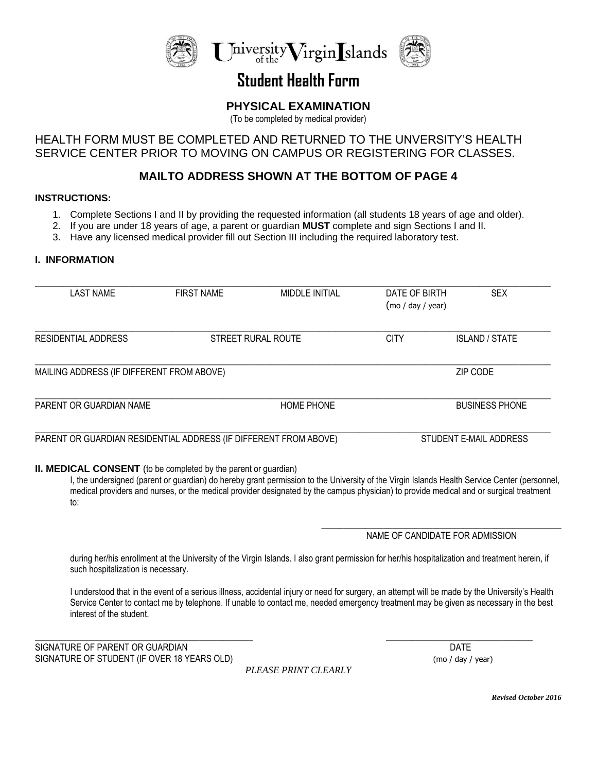

## **Student Health Form**

## **PHYSICAL EXAMINATION**

(To be completed by medical provider)

### HEALTH FORM MUST BE COMPLETED AND RETURNED TO THE UNVERSITY'S HEALTH SERVICE CENTER PRIOR TO MOVING ON CAMPUS OR REGISTERING FOR CLASSES.

## **MAILTO ADDRESS SHOWN AT THE BOTTOM OF PAGE 4**

#### **INSTRUCTIONS:**

- 1. Complete Sections I and II by providing the requested information (all students 18 years of age and older).
- 2. If you are under 18 years of age, a parent or guardian **MUST** complete and sign Sections I and II.
- 3. Have any licensed medical provider fill out Section III including the required laboratory test.

#### **I. INFORMATION**

| LAST NAME                                                        | <b>FIRST NAME</b> | <b>MIDDLE INITIAL</b> | DATE OF BIRTH<br>(mod / day / year) | <b>SEX</b>             |  |  |
|------------------------------------------------------------------|-------------------|-----------------------|-------------------------------------|------------------------|--|--|
| RESIDENTIAL ADDRESS                                              |                   | STREET RURAL ROUTE    |                                     | <b>ISLAND / STATE</b>  |  |  |
| MAILING ADDRESS (IF DIFFERENT FROM ABOVE)                        |                   |                       | ZIP CODE                            |                        |  |  |
| PARENT OR GUARDIAN NAME                                          |                   | <b>HOME PHONE</b>     |                                     | <b>BUSINESS PHONE</b>  |  |  |
| PARENT OR GUARDIAN RESIDENTIAL ADDRESS (IF DIFFERENT FROM ABOVE) |                   |                       |                                     | STUDENT E-MAIL ADDRESS |  |  |

#### **II. MEDICAL CONSENT** (to be completed by the parent or guardian)

I, the undersigned (parent or guardian) do hereby grant permission to the University of the Virgin Islands Health Service Center (personnel, medical providers and nurses, or the medical provider designated by the campus physician) to provide medical and or surgical treatment to:

#### \_\_\_\_\_\_\_\_\_\_\_\_\_\_\_\_\_\_\_\_\_\_\_\_\_\_\_\_\_\_\_\_\_\_\_\_\_\_\_\_\_\_\_\_\_\_\_\_\_\_\_\_\_\_ NAME OF CANDIDATE FOR ADMISSION

during her/his enrollment at the University of the Virgin Islands. I also grant permission for her/his hospitalization and treatment herein, if such hospitalization is necessary.

I understood that in the event of a serious illness, accidental injury or need for surgery, an attempt will be made by the University's Health Service Center to contact me by telephone. If unable to contact me, needed emergency treatment may be given as necessary in the best interest of the student.

SIGNATURE OF PARENT OR GUARDIAN DATE AND SIGNATURE OF PARENT OR GUARDIAN SIGNATURE OF STUDENT (IF OVER 18 YEARS OLD) (mo / day / year)

*PLEASE PRINT CLEARLY*

\_\_\_\_\_\_\_\_\_\_\_\_\_\_\_\_\_\_\_\_\_\_\_\_\_\_\_\_\_\_\_\_\_\_\_\_\_\_\_\_\_\_\_\_\_\_\_\_\_ \_\_\_\_\_\_\_\_\_\_\_\_\_\_\_\_\_\_\_\_\_\_\_\_\_\_\_\_\_\_\_\_\_

*Revised October 2016*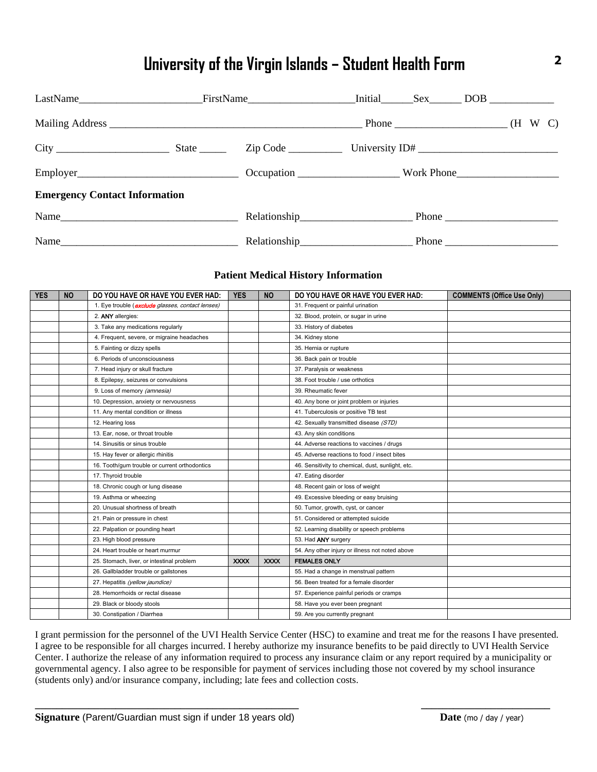# **University of the Virgin Islands – Student Health Form <sup>2</sup>**

|                                      |  | LastName FirstName Initial Sex DOB |  |
|--------------------------------------|--|------------------------------------|--|
|                                      |  | $Phone$ $(H \ W \ C)$              |  |
|                                      |  |                                    |  |
|                                      |  |                                    |  |
| <b>Emergency Contact Information</b> |  |                                    |  |
|                                      |  |                                    |  |
|                                      |  |                                    |  |

#### **Patient Medical History Information**

| <b>YES</b> | <b>NO</b> | DO YOU HAVE OR HAVE YOU EVER HAD:                        | <b>YES</b>  | <b>NO</b>   | DO YOU HAVE OR HAVE YOU EVER HAD:                 | <b>COMMENTS (Office Use Only)</b> |
|------------|-----------|----------------------------------------------------------|-------------|-------------|---------------------------------------------------|-----------------------------------|
|            |           | 1. Eye trouble ( <b>exclude</b> glasses, contact lenses) |             |             | 31. Frequent or painful urination                 |                                   |
|            |           | 2. ANY allergies:                                        |             |             | 32. Blood, protein, or sugar in urine             |                                   |
|            |           | 3. Take any medications regularly                        |             |             | 33. History of diabetes                           |                                   |
|            |           | 4. Frequent, severe, or migraine headaches               |             |             | 34. Kidney stone                                  |                                   |
|            |           | 5. Fainting or dizzy spells                              |             |             | 35. Hernia or rupture                             |                                   |
|            |           | 6. Periods of unconsciousness                            |             |             | 36. Back pain or trouble                          |                                   |
|            |           | 7. Head injury or skull fracture                         |             |             | 37. Paralysis or weakness                         |                                   |
|            |           | 8. Epilepsy, seizures or convulsions                     |             |             | 38. Foot trouble / use orthotics                  |                                   |
|            |           | 9. Loss of memory (amnesia)                              |             |             | 39. Rheumatic fever                               |                                   |
|            |           | 10. Depression, anxiety or nervousness                   |             |             | 40. Any bone or joint problem or injuries         |                                   |
|            |           | 11. Any mental condition or illness                      |             |             | 41. Tuberculosis or positive TB test              |                                   |
|            |           | 12. Hearing loss                                         |             |             | 42. Sexually transmitted disease (STD)            |                                   |
|            |           | 13. Ear, nose, or throat trouble                         |             |             | 43. Any skin conditions                           |                                   |
|            |           | 14. Sinusitis or sinus trouble                           |             |             | 44. Adverse reactions to vaccines / drugs         |                                   |
|            |           | 15. Hay fever or allergic rhinitis                       |             |             | 45. Adverse reactions to food / insect bites      |                                   |
|            |           | 16. Tooth/gum trouble or current orthodontics            |             |             | 46. Sensitivity to chemical, dust, sunlight, etc. |                                   |
|            |           | 17. Thyroid trouble                                      |             |             | 47. Eating disorder                               |                                   |
|            |           | 18. Chronic cough or lung disease                        |             |             | 48. Recent gain or loss of weight                 |                                   |
|            |           | 19. Asthma or wheezing                                   |             |             | 49. Excessive bleeding or easy bruising           |                                   |
|            |           | 20. Unusual shortness of breath                          |             |             | 50. Tumor, growth, cyst, or cancer                |                                   |
|            |           | 21. Pain or pressure in chest                            |             |             | 51. Considered or attempted suicide               |                                   |
|            |           | 22. Palpation or pounding heart                          |             |             | 52. Learning disability or speech problems        |                                   |
|            |           | 23. High blood pressure                                  |             |             | 53. Had ANY surgery                               |                                   |
|            |           | 24. Heart trouble or heart murmur                        |             |             | 54. Any other injury or illness not noted above   |                                   |
|            |           | 25. Stomach, liver, or intestinal problem                | <b>XXXX</b> | <b>XXXX</b> | <b>FEMALES ONLY</b>                               |                                   |
|            |           | 26. Gallbladder trouble or gallstones                    |             |             | 55. Had a change in menstrual pattern             |                                   |
|            |           | 27. Hepatitis (yellow jaundice)                          |             |             | 56. Been treated for a female disorder            |                                   |
|            |           | 28. Hemorrhoids or rectal disease                        |             |             | 57. Experience painful periods or cramps          |                                   |
|            |           | 29. Black or bloody stools                               |             |             | 58. Have you ever been pregnant                   |                                   |
|            |           | 30. Constipation / Diarrhea                              |             |             | 59. Are you currently pregnant                    |                                   |

I grant permission for the personnel of the UVI Health Service Center (HSC) to examine and treat me for the reasons I have presented. I agree to be responsible for all charges incurred. I hereby authorize my insurance benefits to be paid directly to UVI Health Service Center. I authorize the release of any information required to process any insurance claim or any report required by a municipality or governmental agency. I also agree to be responsible for payment of services including those not covered by my school insurance (students only) and/or insurance company, including; late fees and collection costs.

**\_\_\_\_\_\_\_\_\_\_\_\_\_\_\_\_\_\_\_\_\_\_\_\_\_\_\_\_\_\_\_\_\_\_\_\_\_\_\_\_\_\_\_\_\_\_\_\_\_ \_\_\_\_\_\_\_\_\_\_\_\_\_\_\_\_\_\_\_\_\_\_\_\_**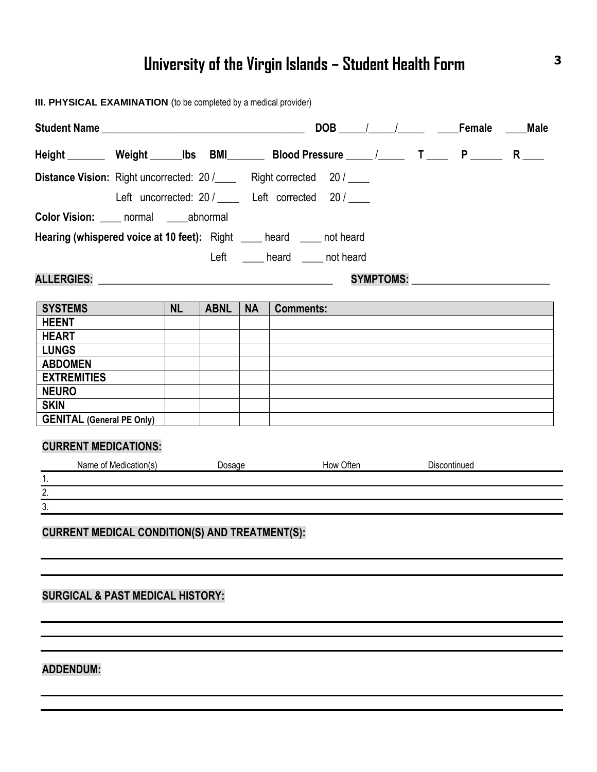# **University of the Virgin Islands – Student Health Form <sup>3</sup>**

| <b>Distance Vision:</b> Right uncorrected: 20 /_____ Right corrected 20 / ____<br>Left uncorrected: 20 / _____ Left corrected 20 / ____<br>Color Vision: _____ normal _____abnormal<br>Hearing (whispered voice at 10 feet): Right ____ heard ____ not heard<br>Left ______ heard _____ not heard<br>SYMPTOMS: New York 2014<br><b>NL</b><br><b>SYSTEMS</b><br><b>ABNL</b><br><b>NA</b><br><b>Comments:</b><br><b>HEENT</b><br><b>HEART</b><br><b>LUNGS</b><br><b>ABDOMEN</b><br><b>EXTREMITIES</b><br><b>NEURO</b><br><b>SKIN</b><br><b>GENITAL (General PE Only)</b><br><b>CURRENT MEDICATIONS:</b><br>Dosage How Often<br>Name of Medication(s)<br><b>Discontinued</b><br>1.<br>$\overline{2}$ .<br>3.<br><b>CURRENT MEDICAL CONDITION(S) AND TREATMENT(S):</b><br><b>SURGICAL &amp; PAST MEDICAL HISTORY:</b> |  |  |  |  |
|-------------------------------------------------------------------------------------------------------------------------------------------------------------------------------------------------------------------------------------------------------------------------------------------------------------------------------------------------------------------------------------------------------------------------------------------------------------------------------------------------------------------------------------------------------------------------------------------------------------------------------------------------------------------------------------------------------------------------------------------------------------------------------------------------------------------|--|--|--|--|
|                                                                                                                                                                                                                                                                                                                                                                                                                                                                                                                                                                                                                                                                                                                                                                                                                   |  |  |  |  |
|                                                                                                                                                                                                                                                                                                                                                                                                                                                                                                                                                                                                                                                                                                                                                                                                                   |  |  |  |  |
|                                                                                                                                                                                                                                                                                                                                                                                                                                                                                                                                                                                                                                                                                                                                                                                                                   |  |  |  |  |
|                                                                                                                                                                                                                                                                                                                                                                                                                                                                                                                                                                                                                                                                                                                                                                                                                   |  |  |  |  |
|                                                                                                                                                                                                                                                                                                                                                                                                                                                                                                                                                                                                                                                                                                                                                                                                                   |  |  |  |  |
|                                                                                                                                                                                                                                                                                                                                                                                                                                                                                                                                                                                                                                                                                                                                                                                                                   |  |  |  |  |
|                                                                                                                                                                                                                                                                                                                                                                                                                                                                                                                                                                                                                                                                                                                                                                                                                   |  |  |  |  |
|                                                                                                                                                                                                                                                                                                                                                                                                                                                                                                                                                                                                                                                                                                                                                                                                                   |  |  |  |  |
|                                                                                                                                                                                                                                                                                                                                                                                                                                                                                                                                                                                                                                                                                                                                                                                                                   |  |  |  |  |
|                                                                                                                                                                                                                                                                                                                                                                                                                                                                                                                                                                                                                                                                                                                                                                                                                   |  |  |  |  |
|                                                                                                                                                                                                                                                                                                                                                                                                                                                                                                                                                                                                                                                                                                                                                                                                                   |  |  |  |  |
|                                                                                                                                                                                                                                                                                                                                                                                                                                                                                                                                                                                                                                                                                                                                                                                                                   |  |  |  |  |
|                                                                                                                                                                                                                                                                                                                                                                                                                                                                                                                                                                                                                                                                                                                                                                                                                   |  |  |  |  |
|                                                                                                                                                                                                                                                                                                                                                                                                                                                                                                                                                                                                                                                                                                                                                                                                                   |  |  |  |  |
|                                                                                                                                                                                                                                                                                                                                                                                                                                                                                                                                                                                                                                                                                                                                                                                                                   |  |  |  |  |
|                                                                                                                                                                                                                                                                                                                                                                                                                                                                                                                                                                                                                                                                                                                                                                                                                   |  |  |  |  |
|                                                                                                                                                                                                                                                                                                                                                                                                                                                                                                                                                                                                                                                                                                                                                                                                                   |  |  |  |  |
|                                                                                                                                                                                                                                                                                                                                                                                                                                                                                                                                                                                                                                                                                                                                                                                                                   |  |  |  |  |
|                                                                                                                                                                                                                                                                                                                                                                                                                                                                                                                                                                                                                                                                                                                                                                                                                   |  |  |  |  |
|                                                                                                                                                                                                                                                                                                                                                                                                                                                                                                                                                                                                                                                                                                                                                                                                                   |  |  |  |  |
|                                                                                                                                                                                                                                                                                                                                                                                                                                                                                                                                                                                                                                                                                                                                                                                                                   |  |  |  |  |
|                                                                                                                                                                                                                                                                                                                                                                                                                                                                                                                                                                                                                                                                                                                                                                                                                   |  |  |  |  |
|                                                                                                                                                                                                                                                                                                                                                                                                                                                                                                                                                                                                                                                                                                                                                                                                                   |  |  |  |  |
|                                                                                                                                                                                                                                                                                                                                                                                                                                                                                                                                                                                                                                                                                                                                                                                                                   |  |  |  |  |
|                                                                                                                                                                                                                                                                                                                                                                                                                                                                                                                                                                                                                                                                                                                                                                                                                   |  |  |  |  |
|                                                                                                                                                                                                                                                                                                                                                                                                                                                                                                                                                                                                                                                                                                                                                                                                                   |  |  |  |  |
|                                                                                                                                                                                                                                                                                                                                                                                                                                                                                                                                                                                                                                                                                                                                                                                                                   |  |  |  |  |
|                                                                                                                                                                                                                                                                                                                                                                                                                                                                                                                                                                                                                                                                                                                                                                                                                   |  |  |  |  |

## **ADDENDUM:**